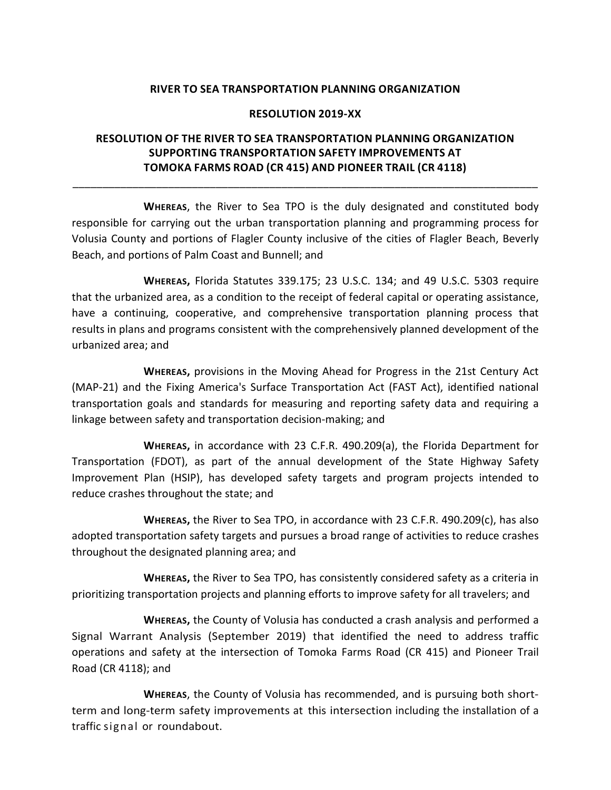## **RIVER TO SEA TRANSPORTATION PLANNING ORGANIZATION**

## **RESOLUTION 2019-XX**

## **RESOLUTION OF THE RIVER TO SEA TRANSPORTATION PLANNING ORGANIZATION SUPPORTING TRANSPORTATION SAFETY IMPROVEMENTS AT TOMOKA FARMS ROAD (CR 415) AND PIONEER TRAIL (CR 4118)**

\_\_\_\_\_\_\_\_\_\_\_\_\_\_\_\_\_\_\_\_\_\_\_\_\_\_\_\_\_\_\_\_\_\_\_\_\_\_\_\_\_\_\_\_\_\_\_\_\_\_\_\_\_\_\_\_\_\_\_\_\_\_\_\_\_\_\_\_\_\_\_\_\_\_\_\_\_\_

**WHEREAS**, the River to Sea TPO is the duly designated and constituted body responsible for carrying out the urban transportation planning and programming process for Volusia County and portions of Flagler County inclusive of the cities of Flagler Beach, Beverly Beach, and portions of Palm Coast and Bunnell; and

**WHEREAS,** Florida Statutes 339.175; 23 U.S.C. 134; and 49 U.S.C. 5303 require that the urbanized area, as a condition to the receipt of federal capital or operating assistance, have a continuing, cooperative, and comprehensive transportation planning process that results in plans and programs consistent with the comprehensively planned development of the urbanized area; and

**WHEREAS,** provisions in the Moving Ahead for Progress in the 21st Century Act (MAP-21) and the Fixing America's Surface Transportation Act (FAST Act), identified national transportation goals and standards for measuring and reporting safety data and requiring a linkage between safety and transportation decision-making; and

**WHEREAS,** in accordance with 23 C.F.R. 490.209(a), the Florida Department for Transportation (FDOT), as part of the annual development of the State Highway Safety Improvement Plan (HSIP), has developed safety targets and program projects intended to reduce crashes throughout the state; and

**WHEREAS,** the River to Sea TPO, in accordance with 23 C.F.R. 490.209(c), has also adopted transportation safety targets and pursues a broad range of activities to reduce crashes throughout the designated planning area; and

**WHEREAS,** the River to Sea TPO, has consistently considered safety as a criteria in prioritizing transportation projects and planning efforts to improve safety for all travelers; and

**WHEREAS,** the County of Volusia has conducted a crash analysis and performed a Signal Warrant Analysis (September 2019) that identified the need to address traffic operations and safety at the intersection of Tomoka Farms Road (CR 415) and Pioneer Trail Road (CR 4118); and

**WHEREAS**, the County of Volusia has recommended, and is pursuing both shortterm and long-term safety improvements at this intersection including the installation of a traffic signal or roundabout.